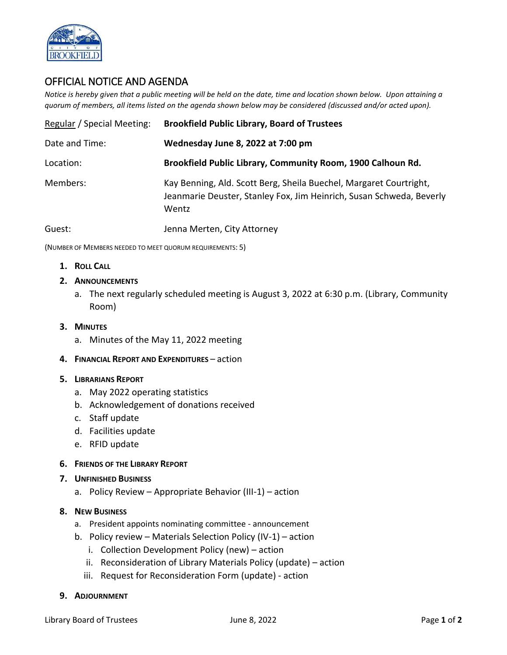

## OFFICIAL NOTICE AND AGENDA

*Notice is hereby given that a public meeting will be held on the date, time and location shown below. Upon attaining a quorum of members, all items listed on the agenda shown below may be considered (discussed and/or acted upon).*

| Regular / Special Meeting: | <b>Brookfield Public Library, Board of Trustees</b>                                                                                                 |
|----------------------------|-----------------------------------------------------------------------------------------------------------------------------------------------------|
| Date and Time:             | Wednesday June 8, 2022 at 7:00 pm                                                                                                                   |
| Location:                  | Brookfield Public Library, Community Room, 1900 Calhoun Rd.                                                                                         |
| Members:                   | Kay Benning, Ald. Scott Berg, Sheila Buechel, Margaret Courtright,<br>Jeanmarie Deuster, Stanley Fox, Jim Heinrich, Susan Schweda, Beverly<br>Wentz |
| Guest:                     | Jenna Merten, City Attorney                                                                                                                         |

(NUMBER OF MEMBERS NEEDED TO MEET QUORUM REQUIREMENTS: 5)

- **1. ROLL CALL**
- **2. ANNOUNCEMENTS**
	- a. The next regularly scheduled meeting is August 3, 2022 at 6:30 p.m. (Library, Community Room)
- **3. MINUTES**
	- a. Minutes of the May 11, 2022 meeting
- **4. FINANCIAL REPORT AND EXPENDITURES** action

## **5. LIBRARIANS REPORT**

- a. May 2022 operating statistics
- b. Acknowledgement of donations received
- c. Staff update
- d. Facilities update
- e. RFID update
- **6. FRIENDS OF THE LIBRARY REPORT**
- **7. UNFINISHED BUSINESS**
	- a. Policy Review Appropriate Behavior (III-1) action

## **8. NEW BUSINESS**

- a. President appoints nominating committee announcement
- b. Policy review Materials Selection Policy (IV-1) action
	- i. Collection Development Policy (new) action
	- ii. Reconsideration of Library Materials Policy (update) action
	- iii. Request for Reconsideration Form (update) action

## **9. ADJOURNMENT**